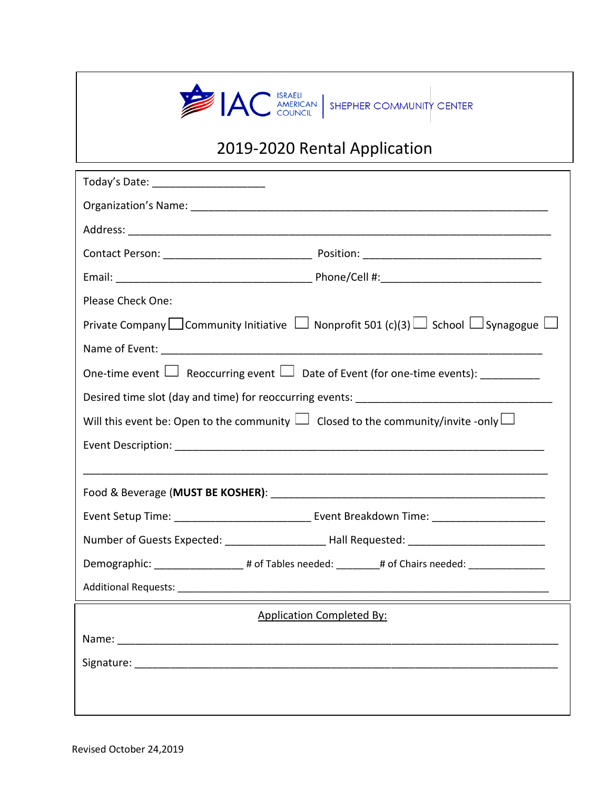

# 2019-2020 Rental Application

| Today's Date: _________________________                                                                       |
|---------------------------------------------------------------------------------------------------------------|
|                                                                                                               |
|                                                                                                               |
|                                                                                                               |
|                                                                                                               |
| Please Check One:                                                                                             |
| Private Company $\Box$ Community Initiative $\Box$ Nonprofit 501 (c)(3) $\Box$ School $\Box$ Synagogue $\Box$ |
|                                                                                                               |
| One-time event $\Box$ Reoccurring event $\Box$ Date of Event (for one-time events): __________                |
|                                                                                                               |
| Will this event be: Open to the community $\Box$ Closed to the community/invite -only $\Box$                  |
|                                                                                                               |
|                                                                                                               |
|                                                                                                               |
|                                                                                                               |
| Number of Guests Expected: _______________________Hall Requested: _________________________________           |
| Demographic: ____________________# of Tables needed: _________# of Chairs needed: ________________            |
|                                                                                                               |
| <b>Application Completed By:</b>                                                                              |
|                                                                                                               |
|                                                                                                               |
|                                                                                                               |
|                                                                                                               |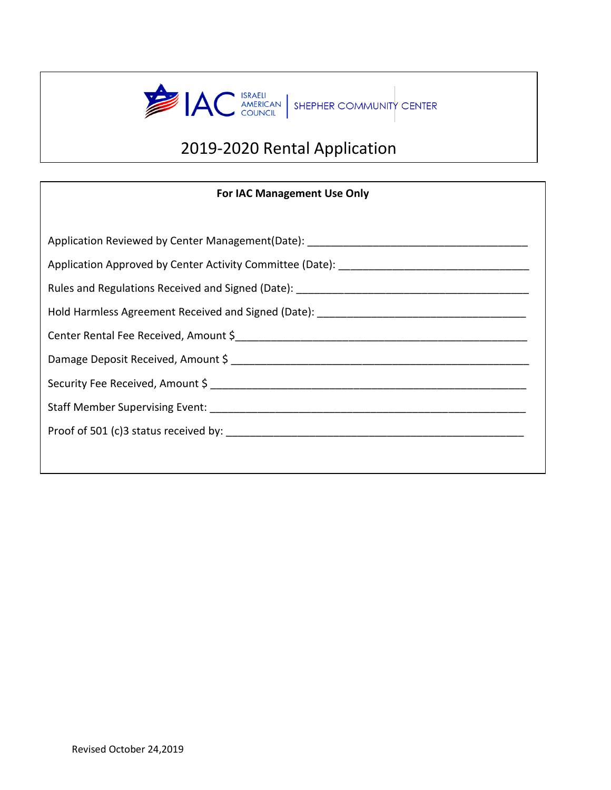

# 2019-2020 Rental Application

### **For IAC Management Use Only**

| Application Reviewed by Center Management(Date): ________________________________ |  |  |
|-----------------------------------------------------------------------------------|--|--|
|                                                                                   |  |  |
|                                                                                   |  |  |
|                                                                                   |  |  |
|                                                                                   |  |  |
|                                                                                   |  |  |
|                                                                                   |  |  |
|                                                                                   |  |  |
|                                                                                   |  |  |
|                                                                                   |  |  |
|                                                                                   |  |  |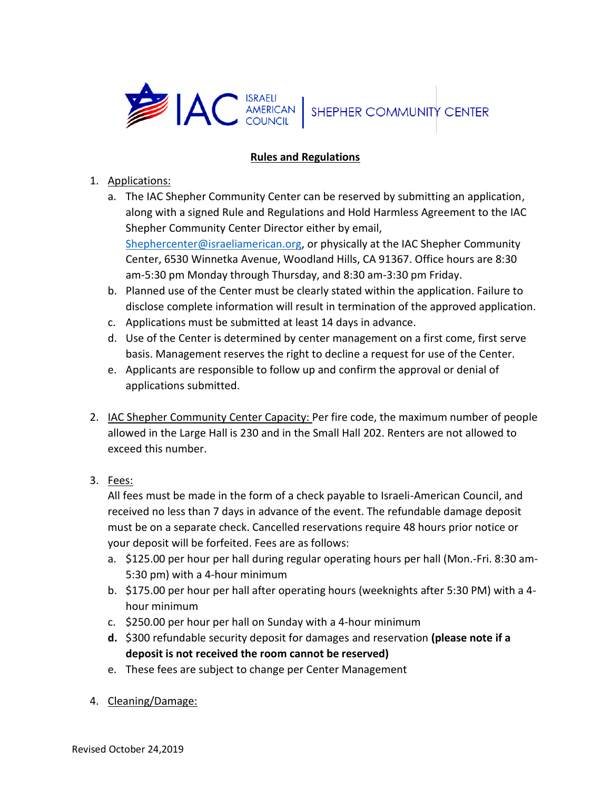

### **Rules and Regulations**

- 1. Applications:
	- a. The IAC Shepher Community Center can be reserved by submitting an application, along with a signed Rule and Regulations and Hold Harmless Agreement to the IAC Shepher Community Center Director either by email, [Shephercenter@israeliamerican.org,](mailto:Shephercenter@israeliamerican.org) or physically at the IAC Shepher Community Center, 6530 Winnetka Avenue, Woodland Hills, CA 91367. Office hours are 8:30 am-5:30 pm Monday through Thursday, and 8:30 am-3:30 pm Friday.
	- b. Planned use of the Center must be clearly stated within the application. Failure to disclose complete information will result in termination of the approved application.
	- c. Applications must be submitted at least 14 days in advance.
	- d. Use of the Center is determined by center management on a first come, first serve basis. Management reserves the right to decline a request for use of the Center.
	- e. Applicants are responsible to follow up and confirm the approval or denial of applications submitted.
- 2. IAC Shepher Community Center Capacity: Per fire code, the maximum number of people allowed in the Large Hall is 230 and in the Small Hall 202. Renters are not allowed to exceed this number.
- 3. Fees:

All fees must be made in the form of a check payable to Israeli-American Council, and received no less than 7 days in advance of the event. The refundable damage deposit must be on a separate check. Cancelled reservations require 48 hours prior notice or your deposit will be forfeited. Fees are as follows:

- a. \$125.00 per hour per hall during regular operating hours per hall (Mon.-Fri. 8:30 am-5:30 pm) with a 4-hour minimum
- b. \$175.00 per hour per hall after operating hours (weeknights after 5:30 PM) with a 4 hour minimum
- c. \$250.00 per hour per hall on Sunday with a 4-hour minimum
- **d.** \$300 refundable security deposit for damages and reservation **(please note if a deposit is not received the room cannot be reserved)**
- e. These fees are subject to change per Center Management
- 4. Cleaning/Damage: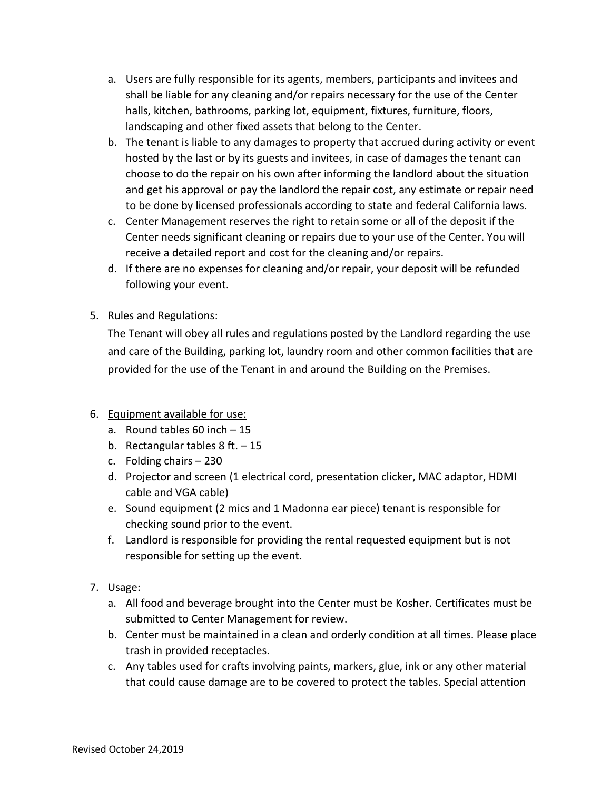- a. Users are fully responsible for its agents, members, participants and invitees and shall be liable for any cleaning and/or repairs necessary for the use of the Center halls, kitchen, bathrooms, parking lot, equipment, fixtures, furniture, floors, landscaping and other fixed assets that belong to the Center.
- b. The tenant is liable to any damages to property that accrued during activity or event hosted by the last or by its guests and invitees, in case of damages the tenant can choose to do the repair on his own after informing the landlord about the situation and get his approval or pay the landlord the repair cost, any estimate or repair need to be done by licensed professionals according to state and federal California laws.
- c. Center Management reserves the right to retain some or all of the deposit if the Center needs significant cleaning or repairs due to your use of the Center. You will receive a detailed report and cost for the cleaning and/or repairs.
- d. If there are no expenses for cleaning and/or repair, your deposit will be refunded following your event.

# 5. Rules and Regulations:

The Tenant will obey all rules and regulations posted by the Landlord regarding the use and care of the Building, parking lot, laundry room and other common facilities that are provided for the use of the Tenant in and around the Building on the Premises.

# 6. Equipment available for use:

- a. Round tables 60 inch 15
- b. Rectangular tables  $8$  ft.  $-15$
- c. Folding chairs 230
- d. Projector and screen (1 electrical cord, presentation clicker, MAC adaptor, HDMI cable and VGA cable)
- e. Sound equipment (2 mics and 1 Madonna ear piece) tenant is responsible for checking sound prior to the event.
- f. Landlord is responsible for providing the rental requested equipment but is not responsible for setting up the event.
- 7. Usage:
	- a. All food and beverage brought into the Center must be Kosher. Certificates must be submitted to Center Management for review.
	- b. Center must be maintained in a clean and orderly condition at all times. Please place trash in provided receptacles.
	- c. Any tables used for crafts involving paints, markers, glue, ink or any other material that could cause damage are to be covered to protect the tables. Special attention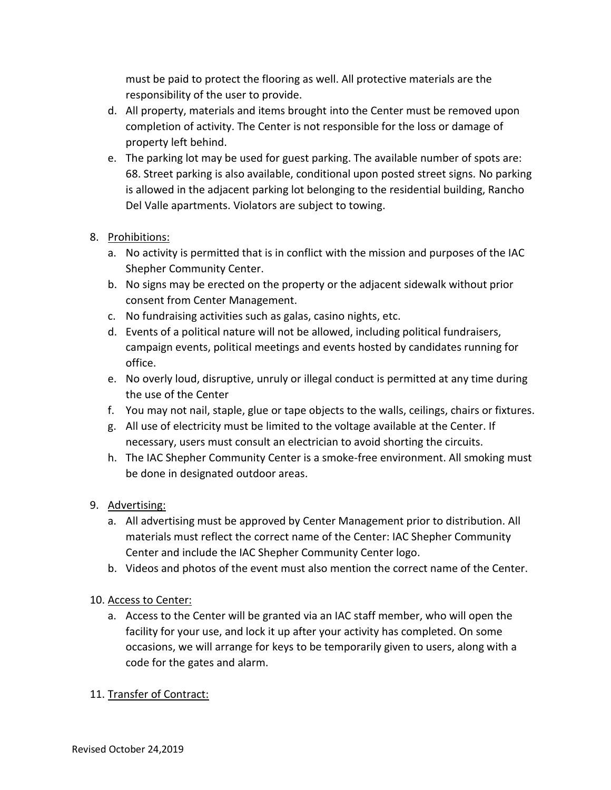must be paid to protect the flooring as well. All protective materials are the responsibility of the user to provide.

- d. All property, materials and items brought into the Center must be removed upon completion of activity. The Center is not responsible for the loss or damage of property left behind.
- e. The parking lot may be used for guest parking. The available number of spots are: 68. Street parking is also available, conditional upon posted street signs. No parking is allowed in the adjacent parking lot belonging to the residential building, Rancho Del Valle apartments. Violators are subject to towing.
- 8. Prohibitions:
	- a. No activity is permitted that is in conflict with the mission and purposes of the IAC Shepher Community Center.
	- b. No signs may be erected on the property or the adjacent sidewalk without prior consent from Center Management.
	- c. No fundraising activities such as galas, casino nights, etc.
	- d. Events of a political nature will not be allowed, including political fundraisers, campaign events, political meetings and events hosted by candidates running for office.
	- e. No overly loud, disruptive, unruly or illegal conduct is permitted at any time during the use of the Center
	- f. You may not nail, staple, glue or tape objects to the walls, ceilings, chairs or fixtures.
	- g. All use of electricity must be limited to the voltage available at the Center. If necessary, users must consult an electrician to avoid shorting the circuits.
	- h. The IAC Shepher Community Center is a smoke-free environment. All smoking must be done in designated outdoor areas.
- 9. Advertising:
	- a. All advertising must be approved by Center Management prior to distribution. All materials must reflect the correct name of the Center: IAC Shepher Community Center and include the IAC Shepher Community Center logo.
	- b. Videos and photos of the event must also mention the correct name of the Center.
- 10. Access to Center:
	- a. Access to the Center will be granted via an IAC staff member, who will open the facility for your use, and lock it up after your activity has completed. On some occasions, we will arrange for keys to be temporarily given to users, along with a code for the gates and alarm.
- 11. Transfer of Contract: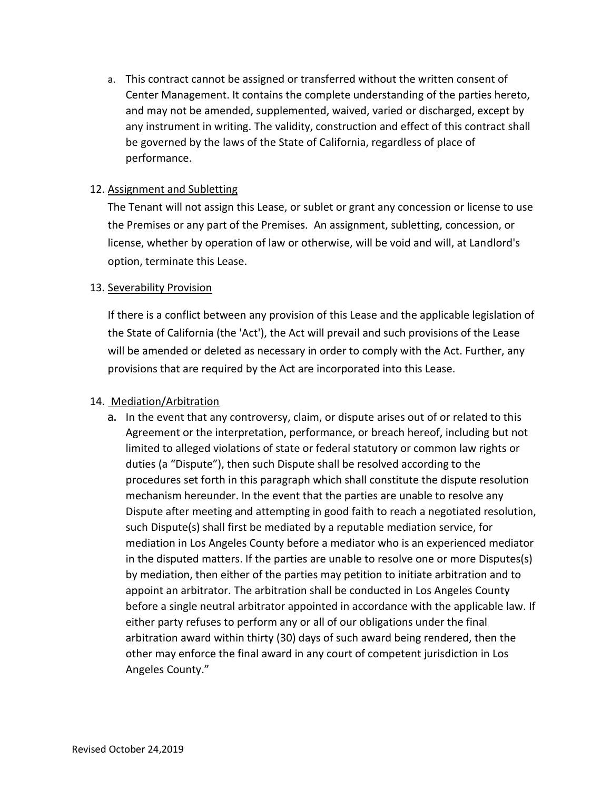a. This contract cannot be assigned or transferred without the written consent of Center Management. It contains the complete understanding of the parties hereto, and may not be amended, supplemented, waived, varied or discharged, except by any instrument in writing. The validity, construction and effect of this contract shall be governed by the laws of the State of California, regardless of place of performance.

#### 12. Assignment and Subletting

The Tenant will not assign this Lease, or sublet or grant any concession or license to use the Premises or any part of the Premises. An assignment, subletting, concession, or license, whether by operation of law or otherwise, will be void and will, at Landlord's option, terminate this Lease.

#### 13. Severability Provision

If there is a conflict between any provision of this Lease and the applicable legislation of the State of California (the 'Act'), the Act will prevail and such provisions of the Lease will be amended or deleted as necessary in order to comply with the Act. Further, any provisions that are required by the Act are incorporated into this Lease.

#### 14. Mediation/Arbitration

a. In the event that any controversy, claim, or dispute arises out of or related to this Agreement or the interpretation, performance, or breach hereof, including but not limited to alleged violations of state or federal statutory or common law rights or duties (a "Dispute"), then such Dispute shall be resolved according to the procedures set forth in this paragraph which shall constitute the dispute resolution mechanism hereunder. In the event that the parties are unable to resolve any Dispute after meeting and attempting in good faith to reach a negotiated resolution, such Dispute(s) shall first be mediated by a reputable mediation service, for mediation in Los Angeles County before a mediator who is an experienced mediator in the disputed matters. If the parties are unable to resolve one or more Disputes(s) by mediation, then either of the parties may petition to initiate arbitration and to appoint an arbitrator. The arbitration shall be conducted in Los Angeles County before a single neutral arbitrator appointed in accordance with the applicable law. If either party refuses to perform any or all of our obligations under the final arbitration award within thirty (30) days of such award being rendered, then the other may enforce the final award in any court of competent jurisdiction in Los Angeles County."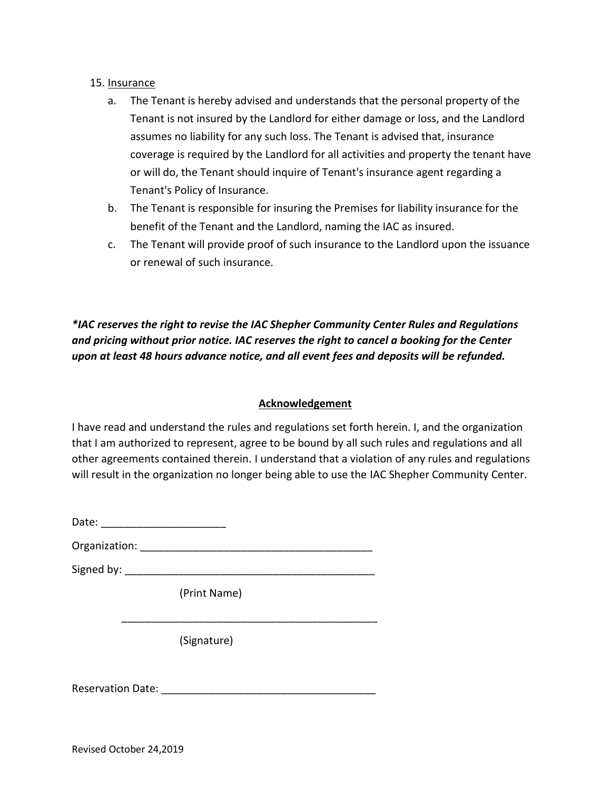#### 15. Insurance

- a. The Tenant is hereby advised and understands that the personal property of the Tenant is not insured by the Landlord for either damage or loss, and the Landlord assumes no liability for any such loss. The Tenant is advised that, insurance coverage is required by the Landlord for all activities and property the tenant have or will do, the Tenant should inquire of Tenant's insurance agent regarding a Tenant's Policy of Insurance.
- b. The Tenant is responsible for insuring the Premises for liability insurance for the benefit of the Tenant and the Landlord, naming the IAC as insured.
- c. The Tenant will provide proof of such insurance to the Landlord upon the issuance or renewal of such insurance.

*\*IAC reserves the right to revise the IAC Shepher Community Center Rules and Regulations and pricing without prior notice. IAC reserves the right to cancel a booking for the Center upon at least 48 hours advance notice, and all event fees and deposits will be refunded.* 

# **Acknowledgement**

I have read and understand the rules and regulations set forth herein. I, and the organization that I am authorized to represent, agree to be bound by all such rules and regulations and all other agreements contained therein. I understand that a violation of any rules and regulations will result in the organization no longer being able to use the IAC Shepher Community Center.

Date: \_\_\_\_\_\_\_\_\_\_\_\_\_\_\_\_\_\_\_\_\_

Organization: \_\_\_\_\_\_\_\_\_\_\_\_\_\_\_\_\_\_\_\_\_\_\_\_\_\_\_\_\_\_\_\_\_\_\_\_\_\_\_

\_\_\_\_\_\_\_\_\_\_\_\_\_\_\_\_\_\_\_\_\_\_\_\_\_\_\_\_\_\_\_\_\_\_\_\_\_\_\_\_\_\_\_

Signed by: \_\_\_\_\_\_\_\_\_\_\_\_\_\_\_\_\_\_\_\_\_\_\_\_\_\_\_\_\_\_\_\_\_\_\_\_\_\_\_\_\_\_

(Print Name)

(Signature)

Reservation Date: **Example 20**